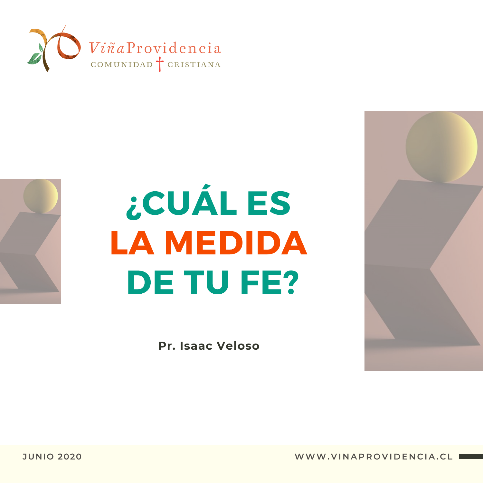



## ¿CUÁL ES LA MEDIDA DE TU FE?

**Pr. Isaac Veloso**

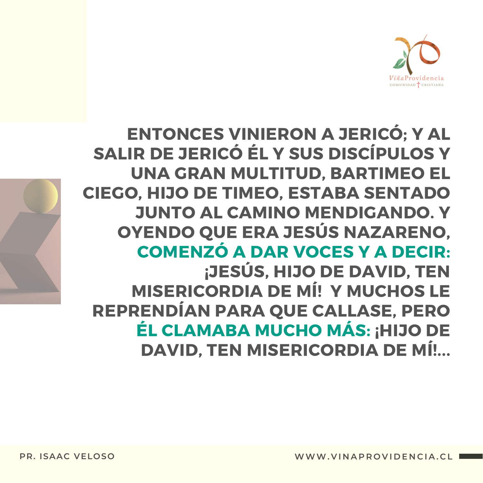

ENTONCES VINIERON A JERICÓ; Y AL SALIR DE JERICÓ ÉL Y SUS DISCÍPULOS Y UNA GRAN MULTITUD, BARTIMEO EL CIEGO, HIJO DE TIMEO, ESTABA SENTADO JUNTO AL CAMINO MENDIGANDO. Y OYENDO QUE ERA JESÚS NAZARENO, COMENZÓ A DAR VOCES Y A DECIR: ¡JESÚS, HIJO DE DAVID, TEN MISERICORDIA DE MÍ! Y MUCHOS LE REPRENDÍAN PARA QUE CALLASE, PERO ÉL CLAMABA MUCHO MÁS: ¡HIJO DE DAVID, TEN MISERICORDIA DE MÍ!...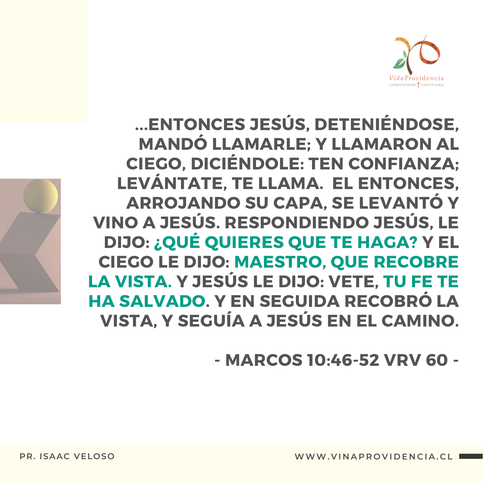

...ENTONCES JESÚS, DETENIÉNDOSE, MANDÓ LLAMARLE; Y LLAMARON AL CIEGO, DICIÉNDOLE: TEN CONFIANZA; LEVÁNTATE, TE LLAMA. EL ENTONCES, ARROJANDO SU CAPA, SE LEVANTÓ Y VINO A JESÚS. RESPONDIENDO JESÚS, LE DIJO: ¿QUÉ QUIERES QUE TE HAGA? Y EL CIEGO LE DIJO: MAESTRO, QUE RECOBRE LA VISTA. Y JESÚS LE DIJO: VETE, TU FE TE HA SALVADO. Y EN SEGUIDA RECOBRÓ LA VISTA, Y SEGUÍA A JESÚS EN EL CAMINO.

- MARCOS 10:46-52 VRV 60 -

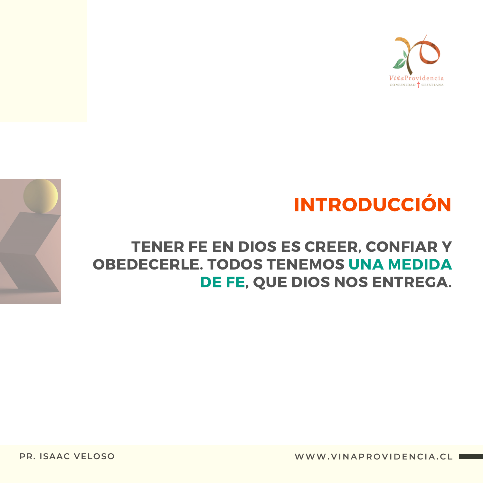

#### INTRODUCCIÓN

#### TENER FE EN DIOS ES CREER, CONFIAR Y OBEDECERLE. TODOS TENEMOS UNA MEDIDA DE FE, QUE DIOS NOS ENTREGA.

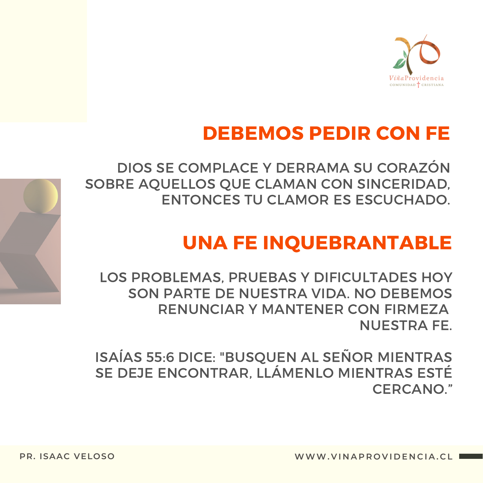

#### DEBEMOS PEDIR CON FE

DIOS SE COMPLACE Y DERRAMA SU CORAZÓN SOBRE AQUELLOS QUE CLAMAN CON SINCERIDAD, ENTONCES TU CLAMOR ES ESCUCHADO.

#### UNA FE INQUEBRANTABLE

LOS PROBLEMAS, PRUEBAS Y DIFICULTADES HOY SON PARTE DE NUESTRA VIDA. NO DEBEMOS RENUNCIAR Y MANTENER CON FIRMEZA NUESTRA FE.

ISAÍAS 55:6 DICE: "BUSQUEN AL SEÑOR MIENTRAS SE DEJE ENCONTRAR, LLÁMENLO MIENTRAS ESTÉ CERCANO."

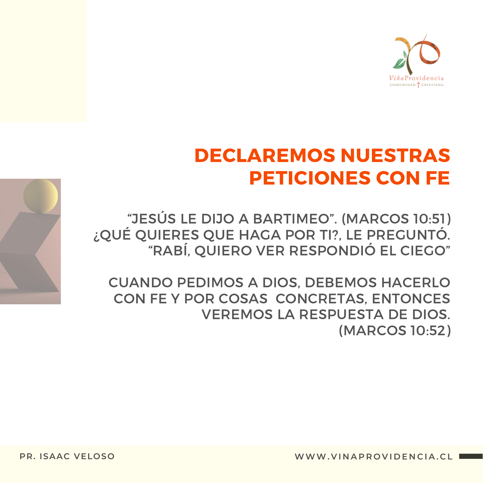

#### **DECLAREMOS NUESTRAS PETICIONES CON FE**

"JESÚS LE DIJO A BARTIMEO". (MARCOS 10:51) ¿QUÉ QUIERES QUE HAGA POR TI?, LE PREGUNTÓ. "RABÍ, QUIERO VER RESPONDIÓ EL CIEGO"

**CUANDO PEDIMOS A DIOS, DEBEMOS HACERLO** CON FE Y POR COSAS CONCRETAS, ENTONCES **VEREMOS LA RESPUESTA DE DIOS.** (MARCOS 10:52)

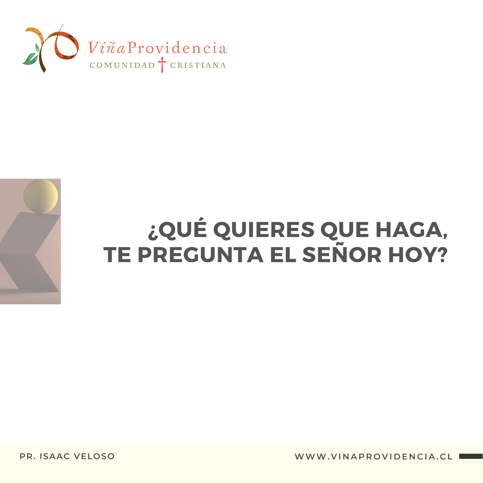



# ¿QUÉ QUIERES QUE HAGA,<br>TE PREGUNTA EL SEÑOR HOY?

**PR. ISAAC VELOSO** 

WWW.VINAPROVIDENCIA.CL